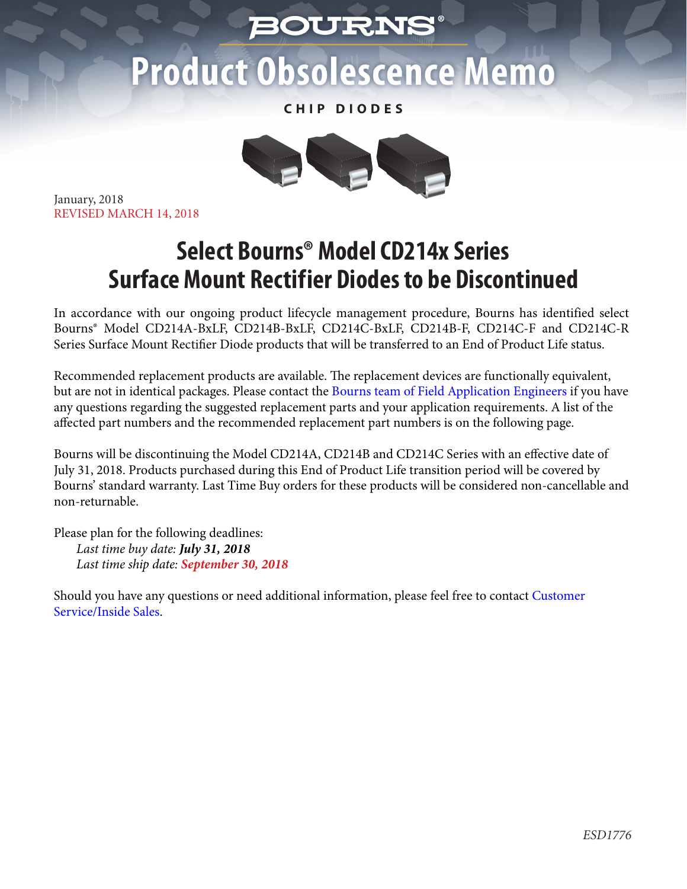## *BOURNS*

## Product Obsolescence Memo

**CHIP DIODES**



January, 2018 REVISED MARCH 14, 2018

## **Select Bourns® Model CD214x Series Surface Mount Rectifier Diodes to be Discontinued**

In accordance with our ongoing product lifecycle management procedure, Bourns has identified select Bourns® Model CD214A-BxLF, CD214B-BxLF, CD214C-BxLF, CD214B-F, CD214C-F and CD214C-R Series Surface Mount Rectifier Diode products that will be transferred to an End of Product Life status.

Recommended replacement products are available. The replacement devices are functionally equivalent, but are not in identical packages. Please contact t[he Bourns team of Field Application Engineers if y](http://www.bourns.com/support/contact)ou have any questions regarding the suggested replacement parts and your application requirements. A list of the affected part numbers and the recommended replacement part numbers is on the following page.

Bourns will be discontinuing the Model CD214A, CD214B and CD214C Series with an effective date of July 31, 2018. Products purchased during this End of Product Life transition period will be covered by Bourns' standard warranty. Last Time Buy orders for these products will be considered non-cancellable and non-returnable.

Please plan for the following deadlines: *Last time buy date: July 31, 2018 Last time ship date: September 30, 2018*

[Should you have any questions or need additional information, please feel free to contact Customer](http://www.bourns.com/support/contact) Service/Inside Sales.